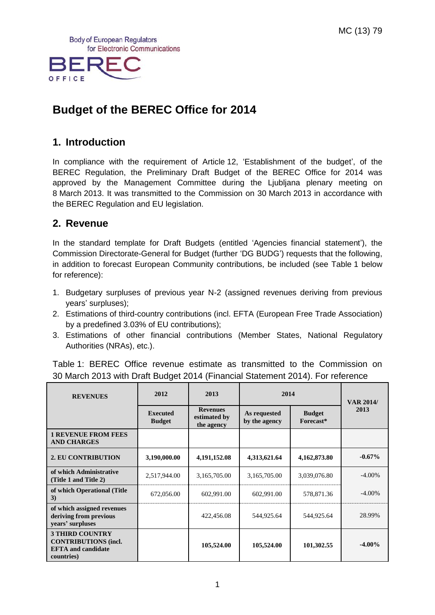**Body of European Regulators** for Electronic Communications



# **Budget of the BEREC Office for 2014**

### **1. Introduction**

In compliance with the requirement of Article 12, 'Establishment of the budget', of the BEREC Regulation, the Preliminary Draft Budget of the BEREC Office for 2014 was approved by the Management Committee during the Ljubljana plenary meeting on 8 March 2013. It was transmitted to the Commission on 30 March 2013 in accordance with the BEREC Regulation and EU legislation.

### **2. Revenue**

In the standard template for Draft Budgets (entitled 'Agencies financial statement'), the Commission Directorate-General for Budget (further 'DG BUDG') requests that the following, in addition to forecast European Community contributions, be included (see Table 1 below for reference):

- 1. Budgetary surpluses of previous year N-2 (assigned revenues deriving from previous years' surpluses);
- 2. Estimations of third-country contributions (incl. EFTA (European Free Trade Association) by a predefined 3.03% of EU contributions);
- 3. Estimations of other financial contributions (Member States, National Regulatory Authorities (NRAs), etc.).

Table 1: BEREC Office revenue estimate as transmitted to the Commission on 30 March 2013 with Draft Budget 2014 (Financial Statement 2014). For reference

| <b>REVENUES</b>                                                                                  | 2012                             | 2013                                          | 2014                          |                            | <b>VAR 2014/</b> |  |
|--------------------------------------------------------------------------------------------------|----------------------------------|-----------------------------------------------|-------------------------------|----------------------------|------------------|--|
|                                                                                                  | <b>Executed</b><br><b>Budget</b> | <b>Revenues</b><br>estimated by<br>the agency | As requested<br>by the agency | <b>Budget</b><br>Forecast* | 2013             |  |
| <b>1 REVENUE FROM FEES</b><br><b>AND CHARGES</b>                                                 |                                  |                                               |                               |                            |                  |  |
| <b>2. EU CONTRIBUTION</b>                                                                        | 3,190,000.00                     | 4, 191, 152.08                                | 4,313,621.64<br>4,162,873.80  |                            | $-0.67\%$        |  |
| of which Administrative<br>(Title 1 and Title 2)                                                 | 2,517,944.00                     | 3,165,705.00                                  | 3,165,705.00                  | 3,039,076.80               | $-4.00\%$        |  |
| of which Operational (Title<br>3)                                                                | 672,056.00                       | 602,991.00                                    | 602,991.00                    | 578,871.36                 | $-4.00\%$        |  |
| of which assigned revenues<br>deriving from previous<br>years' surpluses                         |                                  | 422,456.08                                    | 544,925.64                    | 544,925.64                 | 28.99%           |  |
| <b>3 THIRD COUNTRY</b><br><b>CONTRIBUTIONS (incl.</b><br><b>EFTA</b> and candidate<br>countries) |                                  | 105,524.00                                    | 105,524.00                    | 101,302.55                 | $-4.00\%$        |  |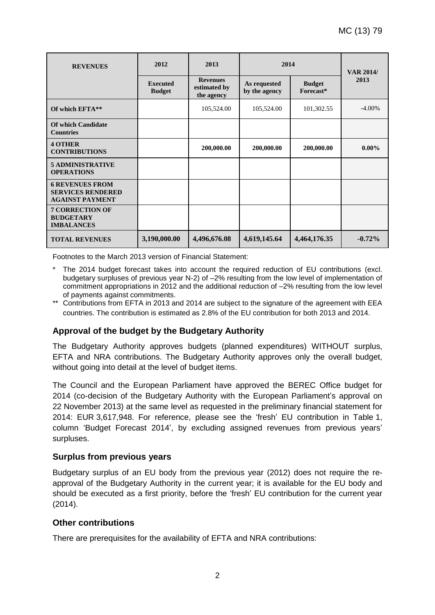| <b>REVENUES</b>                                                              | 2012                             | 2013                                          |                               | 2014                       |           |
|------------------------------------------------------------------------------|----------------------------------|-----------------------------------------------|-------------------------------|----------------------------|-----------|
|                                                                              | <b>Executed</b><br><b>Budget</b> | <b>Revenues</b><br>estimated by<br>the agency | As requested<br>by the agency | <b>Budget</b><br>Forecast* | 2013      |
| Of which EFTA**                                                              |                                  | 105,524.00                                    | 105,524.00                    | 101,302.55                 | $-4.00\%$ |
| <b>Of which Candidate</b><br><b>Countries</b>                                |                                  |                                               |                               |                            |           |
| <b>4 OTHER</b><br><b>CONTRIBUTIONS</b>                                       |                                  | 200,000.00                                    | 200,000.00                    | 200,000.00                 | $0.00\%$  |
| <b>5 ADMINISTRATIVE</b><br><b>OPERATIONS</b>                                 |                                  |                                               |                               |                            |           |
| <b>6 REVENUES FROM</b><br><b>SERVICES RENDERED</b><br><b>AGAINST PAYMENT</b> |                                  |                                               |                               |                            |           |
| <b>7 CORRECTION OF</b><br><b>BUDGETARY</b><br><b>IMBALANCES</b>              |                                  |                                               |                               |                            |           |
| <b>TOTAL REVENUES</b>                                                        | 3,190,000.00                     | 4,496,676.08                                  | 4,619,145.64                  | 4,464,176.35               | $-0.72%$  |

Footnotes to the March 2013 version of Financial Statement:

- The 2014 budget forecast takes into account the required reduction of EU contributions (excl. budgetary surpluses of previous year N-2) of –2% resulting from the low level of implementation of commitment appropriations in 2012 and the additional reduction of –2% resulting from the low level of payments against commitments.
- \*\* Contributions from EFTA in 2013 and 2014 are subject to the signature of the agreement with EEA countries. The contribution is estimated as 2.8% of the EU contribution for both 2013 and 2014.

#### **Approval of the budget by the Budgetary Authority**

The Budgetary Authority approves budgets (planned expenditures) WITHOUT surplus, EFTA and NRA contributions. The Budgetary Authority approves only the overall budget, without going into detail at the level of budget items.

The Council and the European Parliament have approved the BEREC Office budget for 2014 (co-decision of the Budgetary Authority with the European Parliament's approval on 22 November 2013) at the same level as requested in the preliminary financial statement for 2014: EUR 3,617,948. For reference, please see the 'fresh' EU contribution in Table 1, column 'Budget Forecast 2014', by excluding assigned revenues from previous years' surpluses.

#### **Surplus from previous years**

Budgetary surplus of an EU body from the previous year (2012) does not require the reapproval of the Budgetary Authority in the current year; it is available for the EU body and should be executed as a first priority, before the 'fresh' EU contribution for the current year (2014).

#### **Other contributions**

There are prerequisites for the availability of EFTA and NRA contributions: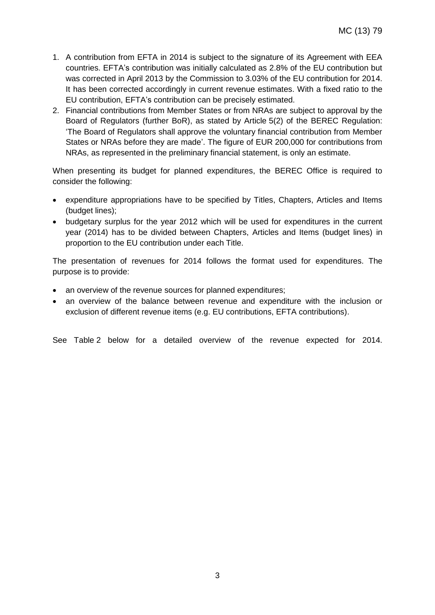- 1. A contribution from EFTA in 2014 is subject to the signature of its Agreement with EEA countries. EFTA's contribution was initially calculated as 2.8% of the EU contribution but was corrected in April 2013 by the Commission to 3.03% of the EU contribution for 2014. It has been corrected accordingly in current revenue estimates. With a fixed ratio to the EU contribution, EFTA's contribution can be precisely estimated.
- 2. Financial contributions from Member States or from NRAs are subject to approval by the Board of Regulators (further BoR), as stated by Article 5(2) of the BEREC Regulation: 'The Board of Regulators shall approve the voluntary financial contribution from Member States or NRAs before they are made'. The figure of EUR 200,000 for contributions from NRAs, as represented in the preliminary financial statement, is only an estimate.

When presenting its budget for planned expenditures, the BEREC Office is required to consider the following:

- expenditure appropriations have to be specified by Titles, Chapters, Articles and Items (budget lines);
- budgetary surplus for the year 2012 which will be used for expenditures in the current year (2014) has to be divided between Chapters, Articles and Items (budget lines) in proportion to the EU contribution under each Title.

The presentation of revenues for 2014 follows the format used for expenditures. The purpose is to provide:

- an overview of the revenue sources for planned expenditures;
- an overview of the balance between revenue and expenditure with the inclusion or exclusion of different revenue items (e.g. EU contributions, EFTA contributions).

See Table 2 below for a detailed overview of the revenue expected for 2014.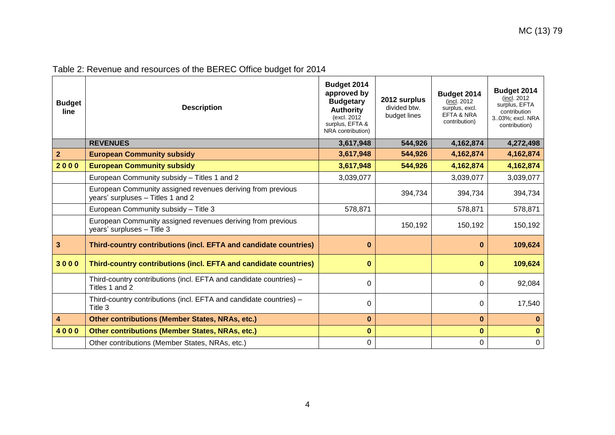| Table 2: Revenue and resources of the BEREC Office budget for 2014 |  |  |  |  |
|--------------------------------------------------------------------|--|--|--|--|
|                                                                    |  |  |  |  |

| <b>Budget</b><br>line   | <b>Description</b>                                                                               | Budget 2014<br>approved by<br><b>Budgetary</b><br><b>Authority</b><br>(excl. 2012)<br>surplus, EFTA &<br>NRA contribution) | 2012 surplus<br>divided btw.<br>budget lines | Budget 2014<br>(incl. 2012)<br>surplus, excl.<br>EFTA & NRA<br>contribution) | Budget 2014<br>(incl. 2012)<br>surplus, EFTA<br>contribution<br>303%; excl. NRA<br>contribution) |
|-------------------------|--------------------------------------------------------------------------------------------------|----------------------------------------------------------------------------------------------------------------------------|----------------------------------------------|------------------------------------------------------------------------------|--------------------------------------------------------------------------------------------------|
|                         | <b>REVENUES</b>                                                                                  | 3,617,948                                                                                                                  | 544,926                                      | 4,162,874                                                                    | 4,272,498                                                                                        |
| 2 <sup>1</sup>          | <b>European Community subsidy</b>                                                                | 3,617,948                                                                                                                  | 544,926                                      | 4,162,874                                                                    | 4,162,874                                                                                        |
| 2000                    | <b>European Community subsidy</b>                                                                | 3,617,948                                                                                                                  | 544,926                                      | 4,162,874                                                                    | 4,162,874                                                                                        |
|                         | European Community subsidy - Titles 1 and 2                                                      | 3,039,077                                                                                                                  |                                              | 3,039,077                                                                    | 3,039,077                                                                                        |
|                         | European Community assigned revenues deriving from previous<br>years' surpluses - Titles 1 and 2 |                                                                                                                            | 394,734                                      | 394,734                                                                      | 394,734                                                                                          |
|                         | European Community subsidy - Title 3                                                             | 578,871                                                                                                                    |                                              | 578,871                                                                      | 578,871                                                                                          |
|                         | European Community assigned revenues deriving from previous<br>years' surpluses - Title 3        |                                                                                                                            | 150,192                                      | 150,192                                                                      | 150,192                                                                                          |
| $\overline{\mathbf{3}}$ | Third-country contributions (incl. EFTA and candidate countries)                                 | $\bf{0}$                                                                                                                   |                                              | $\bf{0}$                                                                     | 109,624                                                                                          |
| 3000                    | Third-country contributions (incl. EFTA and candidate countries)                                 | $\bf{0}$                                                                                                                   |                                              | $\bf{0}$                                                                     | 109,624                                                                                          |
|                         | Third-country contributions (incl. EFTA and candidate countries) -<br>Titles 1 and 2             | $\Omega$                                                                                                                   |                                              | $\Omega$                                                                     | 92,084                                                                                           |
|                         | Third-country contributions (incl. EFTA and candidate countries) -<br>Title 3                    | 0                                                                                                                          |                                              | $\Omega$                                                                     | 17,540                                                                                           |
| $\overline{\mathbf{4}}$ | <b>Other contributions (Member States, NRAs, etc.)</b>                                           | $\bf{0}$                                                                                                                   |                                              | $\mathbf 0$                                                                  | $\bf{0}$                                                                                         |
| 4000                    | <b>Other contributions (Member States, NRAs, etc.)</b>                                           | $\bf{0}$                                                                                                                   |                                              | $\bf{0}$                                                                     | $\bf{0}$                                                                                         |
|                         | Other contributions (Member States, NRAs, etc.)                                                  | $\mathbf 0$                                                                                                                |                                              | $\Omega$                                                                     | $\mathbf 0$                                                                                      |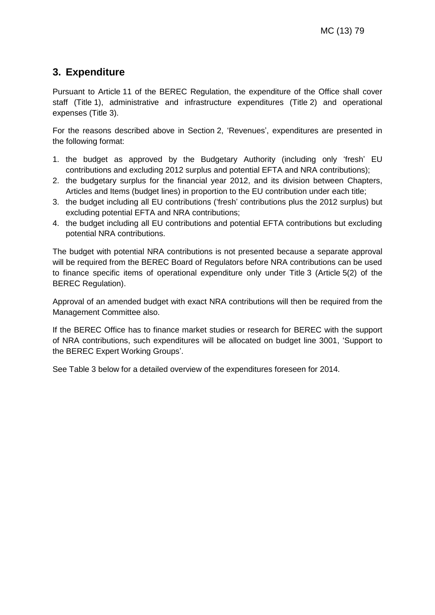## **3. Expenditure**

Pursuant to Article 11 of the BEREC Regulation, the expenditure of the Office shall cover staff (Title 1), administrative and infrastructure expenditures (Title 2) and operational expenses (Title 3).

For the reasons described above in Section 2, 'Revenues', expenditures are presented in the following format:

- 1. the budget as approved by the Budgetary Authority (including only 'fresh' EU contributions and excluding 2012 surplus and potential EFTA and NRA contributions);
- 2. the budgetary surplus for the financial year 2012, and its division between Chapters, Articles and Items (budget lines) in proportion to the EU contribution under each title;
- 3. the budget including all EU contributions ('fresh' contributions plus the 2012 surplus) but excluding potential EFTA and NRA contributions;
- 4. the budget including all EU contributions and potential EFTA contributions but excluding potential NRA contributions.

The budget with potential NRA contributions is not presented because a separate approval will be required from the BEREC Board of Regulators before NRA contributions can be used to finance specific items of operational expenditure only under Title 3 (Article 5(2) of the BEREC Regulation).

Approval of an amended budget with exact NRA contributions will then be required from the Management Committee also.

If the BEREC Office has to finance market studies or research for BEREC with the support of NRA contributions, such expenditures will be allocated on budget line 3001, 'Support to the BEREC Expert Working Groups'.

See Table 3 below for a detailed overview of the expenditures foreseen for 2014.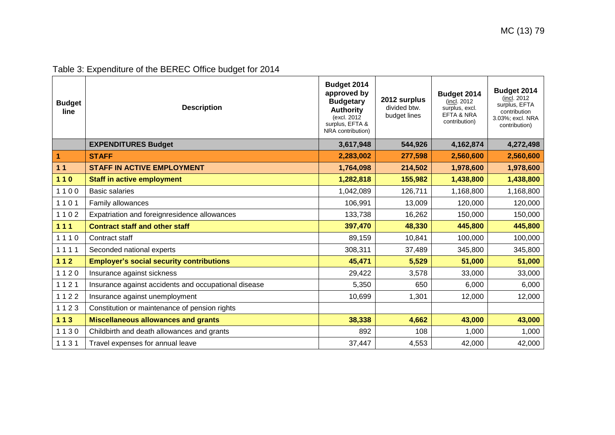| Table 3: Expenditure of the BEREC Office budget for 2014 |
|----------------------------------------------------------|
|                                                          |

| <b>Budget</b><br>line | <b>Description</b>                                   | Budget 2014<br>approved by<br><b>Budgetary</b><br><b>Authority</b><br>(excl. 2012)<br>surplus, EFTA &<br>NRA contribution) | 2012 surplus<br>divided btw.<br>budget lines | Budget 2014<br>(incl. 2012)<br>surplus, excl.<br>EFTA & NRA<br>contribution) | Budget 2014<br>(incl. 2012)<br>surplus, EFTA<br>contribution<br>3.03%; excl. NRA<br>contribution) |
|-----------------------|------------------------------------------------------|----------------------------------------------------------------------------------------------------------------------------|----------------------------------------------|------------------------------------------------------------------------------|---------------------------------------------------------------------------------------------------|
|                       | <b>EXPENDITURES Budget</b>                           | 3,617,948                                                                                                                  | 544,926                                      | 4,162,874                                                                    | 4,272,498                                                                                         |
| $\vert$ 1             | <b>STAFF</b>                                         | 2,283,002                                                                                                                  | 277,598                                      | 2,560,600                                                                    | 2,560,600                                                                                         |
| $11$                  | <b>STAFF IN ACTIVE EMPLOYMENT</b>                    | 1,764,098                                                                                                                  | 214,502                                      | 1,978,600                                                                    | 1,978,600                                                                                         |
| 110                   | <b>Staff in active employment</b>                    | 1,282,818                                                                                                                  | 155,982                                      | 1,438,800                                                                    | 1,438,800                                                                                         |
| 1100                  | <b>Basic salaries</b>                                | 1,042,089                                                                                                                  | 126,711                                      | 1,168,800                                                                    | 1,168,800                                                                                         |
| 1101                  | Family allowances                                    | 106,991                                                                                                                    | 13,009                                       | 120,000                                                                      | 120,000                                                                                           |
| 1102                  | Expatriation and foreignresidence allowances         | 133,738                                                                                                                    | 16,262                                       | 150,000                                                                      | 150,000                                                                                           |
| $111$                 | <b>Contract staff and other staff</b>                | 397,470                                                                                                                    | 48,330                                       | 445,800                                                                      | 445,800                                                                                           |
| 1110                  | Contract staff                                       | 89,159                                                                                                                     | 10,841                                       | 100,000                                                                      | 100,000                                                                                           |
| 1111                  | Seconded national experts                            | 308,311                                                                                                                    | 37,489                                       | 345,800                                                                      | 345,800                                                                                           |
| $112$                 | <b>Employer's social security contributions</b>      | 45,471                                                                                                                     | 5,529                                        | 51,000                                                                       | 51,000                                                                                            |
| 1120                  | Insurance against sickness                           | 29,422                                                                                                                     | 3,578                                        | 33,000                                                                       | 33,000                                                                                            |
| 1121                  | Insurance against accidents and occupational disease | 5,350                                                                                                                      | 650                                          | 6,000                                                                        | 6,000                                                                                             |
| 1122                  | Insurance against unemployment                       | 10,699                                                                                                                     | 1,301                                        | 12,000                                                                       | 12,000                                                                                            |
| 1123                  | Constitution or maintenance of pension rights        |                                                                                                                            |                                              |                                                                              |                                                                                                   |
| $113$                 | <b>Miscellaneous allowances and grants</b>           | 38,338                                                                                                                     | 4,662                                        | 43,000                                                                       | 43,000                                                                                            |
| 1130                  | Childbirth and death allowances and grants           | 892                                                                                                                        | 108                                          | 1,000                                                                        | 1,000                                                                                             |
| 1131                  | Travel expenses for annual leave                     | 37,447                                                                                                                     | 4,553                                        | 42,000                                                                       | 42,000                                                                                            |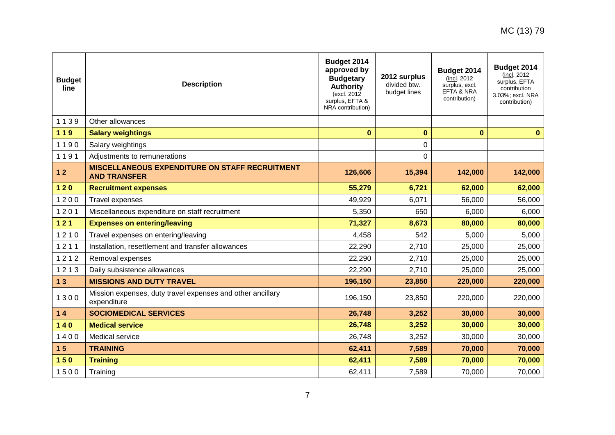| <b>Budget</b><br>line | <b>Description</b>                                                           | Budget 2014<br>approved by<br><b>Budgetary</b><br><b>Authority</b><br>(excl. 2012)<br>surplus, EFTA &<br>NRA contribution) | 2012 surplus<br>divided btw.<br>budget lines | Budget 2014<br>(incl. 2012)<br>surplus, excl.<br>EFTA & NRA<br>contribution) | Budget 2014<br>(incl. 2012)<br>surplus, EFTA<br>contribution<br>3.03%; excl. NRA<br>contribution) |
|-----------------------|------------------------------------------------------------------------------|----------------------------------------------------------------------------------------------------------------------------|----------------------------------------------|------------------------------------------------------------------------------|---------------------------------------------------------------------------------------------------|
| 1139                  | Other allowances                                                             |                                                                                                                            |                                              |                                                                              |                                                                                                   |
| 119                   | <b>Salary weightings</b>                                                     | $\mathbf{0}$                                                                                                               | $\bf{0}$                                     | $\bf{0}$                                                                     | $\bf{0}$                                                                                          |
| 1190                  | Salary weightings                                                            |                                                                                                                            | 0                                            |                                                                              |                                                                                                   |
| 1191                  | Adjustments to remunerations                                                 |                                                                                                                            | 0                                            |                                                                              |                                                                                                   |
| $12$                  | <b>MISCELLANEOUS EXPENDITURE ON STAFF RECRUITMENT</b><br><b>AND TRANSFER</b> | 126,606                                                                                                                    | 15,394                                       | 142,000                                                                      | 142,000                                                                                           |
| $120$                 | <b>Recruitment expenses</b>                                                  | 55,279                                                                                                                     | 6,721                                        | 62,000                                                                       | 62,000                                                                                            |
| 1200                  | Travel expenses                                                              | 49,929                                                                                                                     | 6,071                                        | 56,000                                                                       | 56,000                                                                                            |
| 1201                  | Miscellaneous expenditure on staff recruitment                               | 5,350                                                                                                                      | 650                                          | 6,000                                                                        | 6,000                                                                                             |
| 121                   | <b>Expenses on entering/leaving</b>                                          | 71,327                                                                                                                     | 8,673                                        | 80,000                                                                       | 80,000                                                                                            |
| 1210                  | Travel expenses on entering/leaving                                          | 4,458                                                                                                                      | 542                                          | 5,000                                                                        | 5,000                                                                                             |
| 1211                  | Installation, resettlement and transfer allowances                           | 22,290                                                                                                                     | 2,710                                        | 25,000                                                                       | 25,000                                                                                            |
| 1212                  | Removal expenses                                                             | 22,290                                                                                                                     | 2,710                                        | 25,000                                                                       | 25,000                                                                                            |
| 1213                  | Daily subsistence allowances                                                 | 22,290                                                                                                                     | 2,710                                        | 25,000                                                                       | 25,000                                                                                            |
| 13                    | <b>MISSIONS AND DUTY TRAVEL</b>                                              | 196,150                                                                                                                    | 23,850                                       | 220,000                                                                      | 220,000                                                                                           |
| 1300                  | Mission expenses, duty travel expenses and other ancillary<br>expenditure    | 196,150                                                                                                                    | 23,850                                       | 220,000                                                                      | 220,000                                                                                           |
| $14$                  | <b>SOCIOMEDICAL SERVICES</b>                                                 | 26,748                                                                                                                     | 3,252                                        | 30,000                                                                       | 30,000                                                                                            |
| $140$                 | <b>Medical service</b>                                                       | 26,748                                                                                                                     | 3,252                                        | 30,000                                                                       | 30,000                                                                                            |
| 1400                  | Medical service                                                              | 26,748                                                                                                                     | 3,252                                        | 30,000                                                                       | 30,000                                                                                            |
| 15                    | <b>TRAINING</b>                                                              | 62,411                                                                                                                     | 7,589                                        | 70,000                                                                       | 70,000                                                                                            |
| $150$                 | <b>Training</b>                                                              | 62,411                                                                                                                     | 7,589                                        | 70,000                                                                       | 70,000                                                                                            |
| 1500                  | Training                                                                     | 62,411                                                                                                                     | 7,589                                        | 70,000                                                                       | 70,000                                                                                            |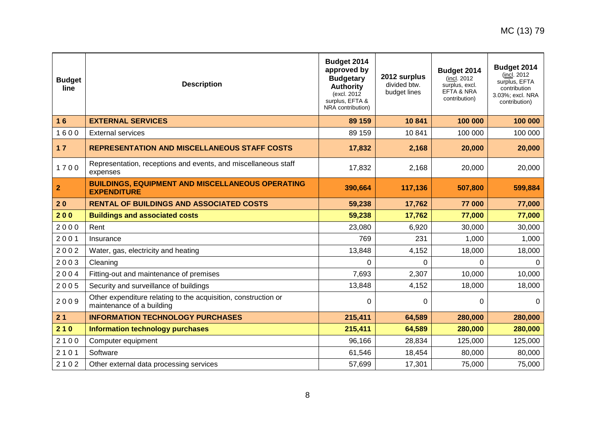| <b>Budget</b><br>line | <b>Description</b>                                                                          | Budget 2014<br>approved by<br><b>Budgetary</b><br><b>Authority</b><br>(excl. 2012)<br>surplus, EFTA &<br>NRA contribution) | 2012 surplus<br>divided btw.<br>budget lines | Budget 2014<br>(incl. 2012)<br>surplus, excl.<br>EFTA & NRA<br>contribution) | Budget 2014<br>(incl. 2012)<br>surplus, EFTA<br>contribution<br>3.03%; excl. NRA<br>contribution) |
|-----------------------|---------------------------------------------------------------------------------------------|----------------------------------------------------------------------------------------------------------------------------|----------------------------------------------|------------------------------------------------------------------------------|---------------------------------------------------------------------------------------------------|
| 16                    | <b>EXTERNAL SERVICES</b>                                                                    | 89 159                                                                                                                     | 10841                                        | 100 000                                                                      | 100 000                                                                                           |
| 1600                  | <b>External services</b>                                                                    | 89 159                                                                                                                     | 10 841                                       | 100 000                                                                      | 100 000                                                                                           |
| $17$                  | <b>REPRESENTATION AND MISCELLANEOUS STAFF COSTS</b>                                         | 17,832                                                                                                                     | 2,168                                        | 20,000                                                                       | 20,000                                                                                            |
| 1700                  | Representation, receptions and events, and miscellaneous staff<br>expenses                  | 17,832                                                                                                                     | 2,168                                        | 20,000                                                                       | 20,000                                                                                            |
| $\mathbf{2}$          | <b>BUILDINGS, EQUIPMENT AND MISCELLANEOUS OPERATING</b><br><b>EXPENDITURE</b>               | 390,664                                                                                                                    | 117,136                                      | 507,800                                                                      | 599,884                                                                                           |
| 20                    | <b>RENTAL OF BUILDINGS AND ASSOCIATED COSTS</b>                                             | 59,238                                                                                                                     | 17,762                                       | 77 000                                                                       | 77,000                                                                                            |
| 200                   | <b>Buildings and associated costs</b>                                                       | 59,238                                                                                                                     | 17,762                                       | 77,000                                                                       | 77,000                                                                                            |
| 2000                  | Rent                                                                                        | 23,080                                                                                                                     | 6,920                                        | 30,000                                                                       | 30,000                                                                                            |
| 2001                  | Insurance                                                                                   | 769                                                                                                                        | 231                                          | 1,000                                                                        | 1,000                                                                                             |
| 2002                  | Water, gas, electricity and heating                                                         | 13,848                                                                                                                     | 4,152                                        | 18,000                                                                       | 18,000                                                                                            |
| 2003                  | Cleaning                                                                                    | 0                                                                                                                          | 0                                            | 0                                                                            | n                                                                                                 |
| 2004                  | Fitting-out and maintenance of premises                                                     | 7,693                                                                                                                      | 2,307                                        | 10,000                                                                       | 10,000                                                                                            |
| 2005                  | Security and surveillance of buildings                                                      | 13,848                                                                                                                     | 4,152                                        | 18,000                                                                       | 18,000                                                                                            |
| 2009                  | Other expenditure relating to the acquisition, construction or<br>maintenance of a building | 0                                                                                                                          | $\Omega$                                     | $\Omega$                                                                     | $\Omega$                                                                                          |
| 21                    | <b>INFORMATION TECHNOLOGY PURCHASES</b>                                                     | 215,411                                                                                                                    | 64,589                                       | 280,000                                                                      | 280,000                                                                                           |
| 210                   | <b>Information technology purchases</b>                                                     | 215,411                                                                                                                    | 64,589                                       | 280,000                                                                      | 280,000                                                                                           |
| 2100                  | Computer equipment                                                                          | 96,166                                                                                                                     | 28,834                                       | 125,000                                                                      | 125,000                                                                                           |
| 2101                  | Software                                                                                    | 61,546                                                                                                                     | 18,454                                       | 80,000                                                                       | 80,000                                                                                            |
| 2102                  | Other external data processing services                                                     | 57,699                                                                                                                     | 17,301                                       | 75,000                                                                       | 75,000                                                                                            |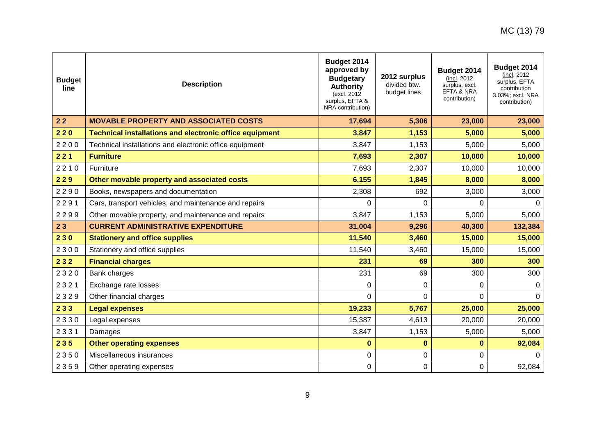| <b>Budget</b><br>line | <b>Description</b>                                             | Budget 2014<br>approved by<br><b>Budgetary</b><br><b>Authority</b><br>(excl. 2012)<br>surplus, EFTA &<br>NRA contribution) | 2012 surplus<br>divided btw.<br>budget lines | Budget 2014<br>(incl. 2012)<br>surplus, excl.<br><b>EFTA &amp; NRA</b><br>contribution) | Budget 2014<br>(incl. 2012)<br>surplus, EFTA<br>contribution<br>3.03%; excl. NRA<br>contribution) |
|-----------------------|----------------------------------------------------------------|----------------------------------------------------------------------------------------------------------------------------|----------------------------------------------|-----------------------------------------------------------------------------------------|---------------------------------------------------------------------------------------------------|
| $22$                  | <b>MOVABLE PROPERTY AND ASSOCIATED COSTS</b>                   | 17,694                                                                                                                     | 5,306                                        | 23,000                                                                                  | 23,000                                                                                            |
| 220                   | <b>Technical installations and electronic office equipment</b> | 3,847                                                                                                                      | 1,153                                        | 5,000                                                                                   | 5,000                                                                                             |
| 2200                  | Technical installations and electronic office equipment        | 3,847                                                                                                                      | 1,153                                        | 5,000                                                                                   | 5,000                                                                                             |
| 221                   | <b>Furniture</b>                                               | 7,693                                                                                                                      | 2,307                                        | 10,000                                                                                  | 10,000                                                                                            |
| 2210                  | Furniture                                                      | 7,693                                                                                                                      | 2,307                                        | 10,000                                                                                  | 10,000                                                                                            |
| 229                   | Other movable property and associated costs                    | 6,155                                                                                                                      | 1,845                                        | 8,000                                                                                   | 8,000                                                                                             |
| 2290                  | Books, newspapers and documentation                            | 2,308                                                                                                                      | 692                                          | 3,000                                                                                   | 3,000                                                                                             |
| 2291                  | Cars, transport vehicles, and maintenance and repairs          | 0                                                                                                                          | $\Omega$                                     | 0                                                                                       |                                                                                                   |
| 2299                  | Other movable property, and maintenance and repairs            | 3,847                                                                                                                      | 1,153                                        | 5,000                                                                                   | 5,000                                                                                             |
| 23                    | <b>CURRENT ADMINISTRATIVE EXPENDITURE</b>                      | 31,004                                                                                                                     | 9,296                                        | 40,300                                                                                  | 132,384                                                                                           |
| 230                   | <b>Stationery and office supplies</b>                          | 11,540                                                                                                                     | 3,460                                        | 15,000                                                                                  | 15,000                                                                                            |
| 2300                  | Stationery and office supplies                                 | 11,540                                                                                                                     | 3,460                                        | 15,000                                                                                  | 15,000                                                                                            |
| 232                   | <b>Financial charges</b>                                       | 231                                                                                                                        | 69                                           | 300                                                                                     | 300                                                                                               |
| 2320                  | Bank charges                                                   | 231                                                                                                                        | 69                                           | 300                                                                                     | 300                                                                                               |
| 2321                  | Exchange rate losses                                           | 0                                                                                                                          | 0                                            | 0                                                                                       | 0                                                                                                 |
| 2329                  | Other financial charges                                        | 0                                                                                                                          | 0                                            | 0                                                                                       | $\Omega$                                                                                          |
| 233                   | <b>Legal expenses</b>                                          | 19,233                                                                                                                     | 5,767                                        | 25,000                                                                                  | 25,000                                                                                            |
| 2330                  | Legal expenses                                                 | 15,387                                                                                                                     | 4,613                                        | 20,000                                                                                  | 20,000                                                                                            |
| 2331                  | Damages                                                        | 3,847                                                                                                                      | 1,153                                        | 5,000                                                                                   | 5,000                                                                                             |
| 235                   | <b>Other operating expenses</b>                                | $\bf{0}$                                                                                                                   | $\bf{0}$                                     | $\bf{0}$                                                                                | 92,084                                                                                            |
| 2350                  | Miscellaneous insurances                                       | 0                                                                                                                          | 0                                            | 0                                                                                       | $\Omega$                                                                                          |
| 2359                  | Other operating expenses                                       | 0                                                                                                                          | 0                                            | 0                                                                                       | 92,084                                                                                            |